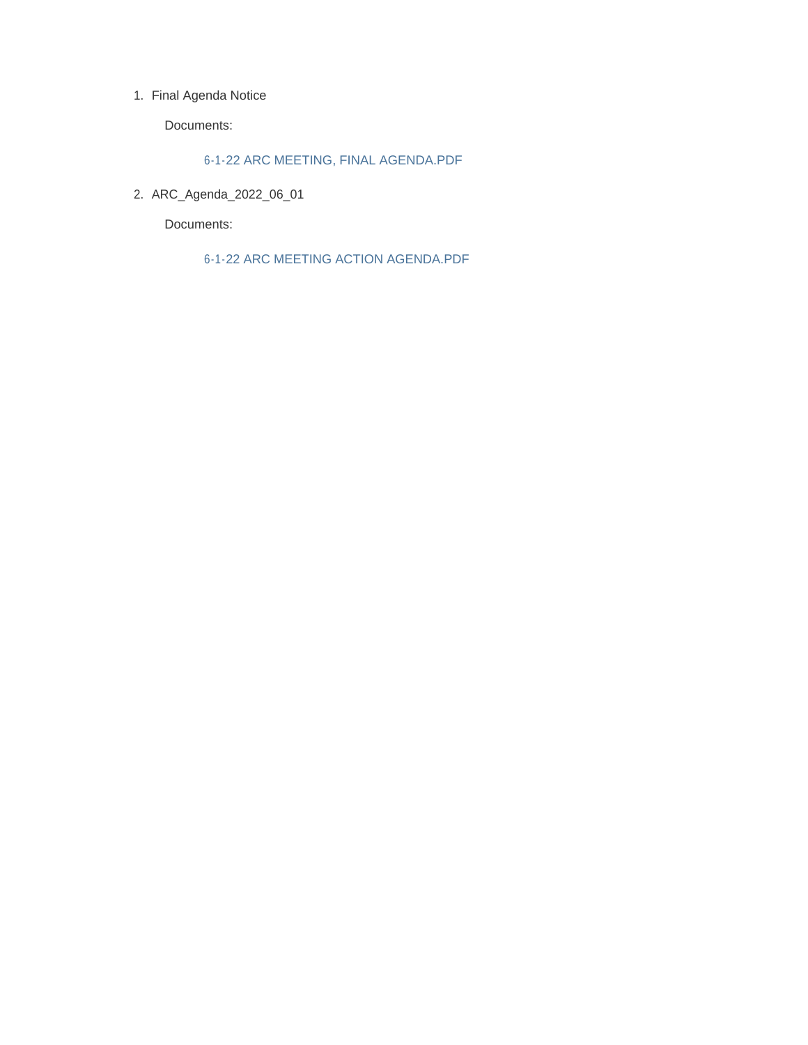#### 1. Final Agenda Notice

Documents:

6-1-22 ARC MEETING, FINAL AGENDA.PDF

ARC\_Agenda\_2022\_06\_01 2.

Documents:

6-1-22 ARC MEETING ACTION AGENDA.PDF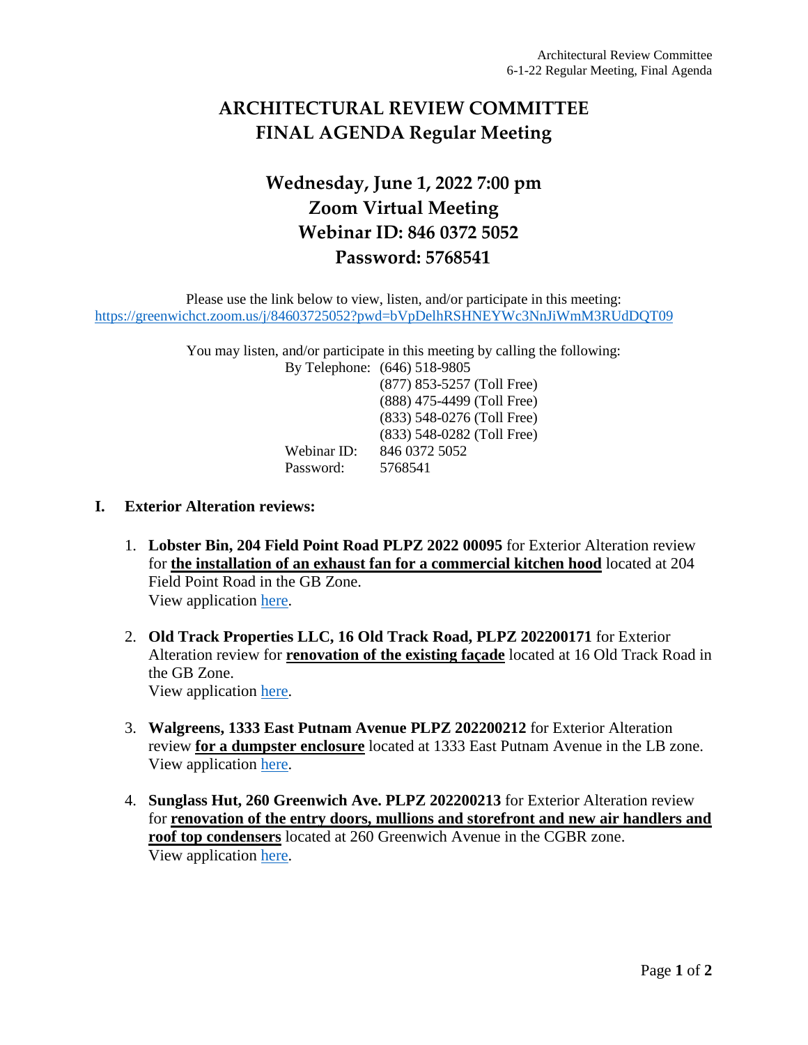# **ARCHITECTURAL REVIEW COMMITTEE FINAL AGENDA Regular Meeting**

# **Wednesday, June 1, 2022 7:00 pm Zoom Virtual Meeting Webinar ID: 846 0372 5052 Password: 5768541**

Please use the link below to view, listen, and/or participate in this meeting: <https://greenwichct.zoom.us/j/84603725052?pwd=bVpDelhRSHNEYWc3NnJiWmM3RUdDQT09>

> You may listen, and/or participate in this meeting by calling the following: By Telephone: (646) 518-9805 (877) 853-5257 (Toll Free)

(888) 475-4499 (Toll Free) (833) 548-0276 (Toll Free) (833) 548-0282 (Toll Free) Webinar ID: 846 0372 5052 Password: 5768541

### **I. Exterior Alteration reviews:**

- 1. **Lobster Bin, 204 Field Point Road PLPZ 2022 00095** for Exterior Alteration review for **the installation of an exhaust fan for a commercial kitchen hood** located at 204 Field Point Road in the GB Zone. View application [here.](https://www.greenwichct.gov/DocumentCenter/View/31304/204-FIELD-POINT-ROAD_ARC-APP)
- 2. **Old Track Properties LLC, 16 Old Track Road, PLPZ 202200171** for Exterior Alteration review for **renovation of the existing façade** located at 16 Old Track Road in the GB Zone. View application [here.](https://www.greenwichct.gov/DocumentCenter/View/31305/16-Old-Track-Rd-ARC-EA)
- 3. **Walgreens, 1333 East Putnam Avenue PLPZ 202200212** for Exterior Alteration review **for a dumpster enclosure** located at 1333 East Putnam Avenue in the LB zone. View application [here.](https://www.greenwichct.gov/DocumentCenter/View/31303/1333-EPA-ARC-EA)
- 4. **Sunglass Hut, 260 Greenwich Ave. PLPZ 202200213** for Exterior Alteration review for **renovation of the entry doors, mullions and storefront and new air handlers and roof top condensers** located at 260 Greenwich Avenue in the CGBR zone. View application [here.](https://www.greenwichct.gov/DocumentCenter/View/31302/260-Greenwich-Avenue-PLPZ-202200213-Sunglass-Hut)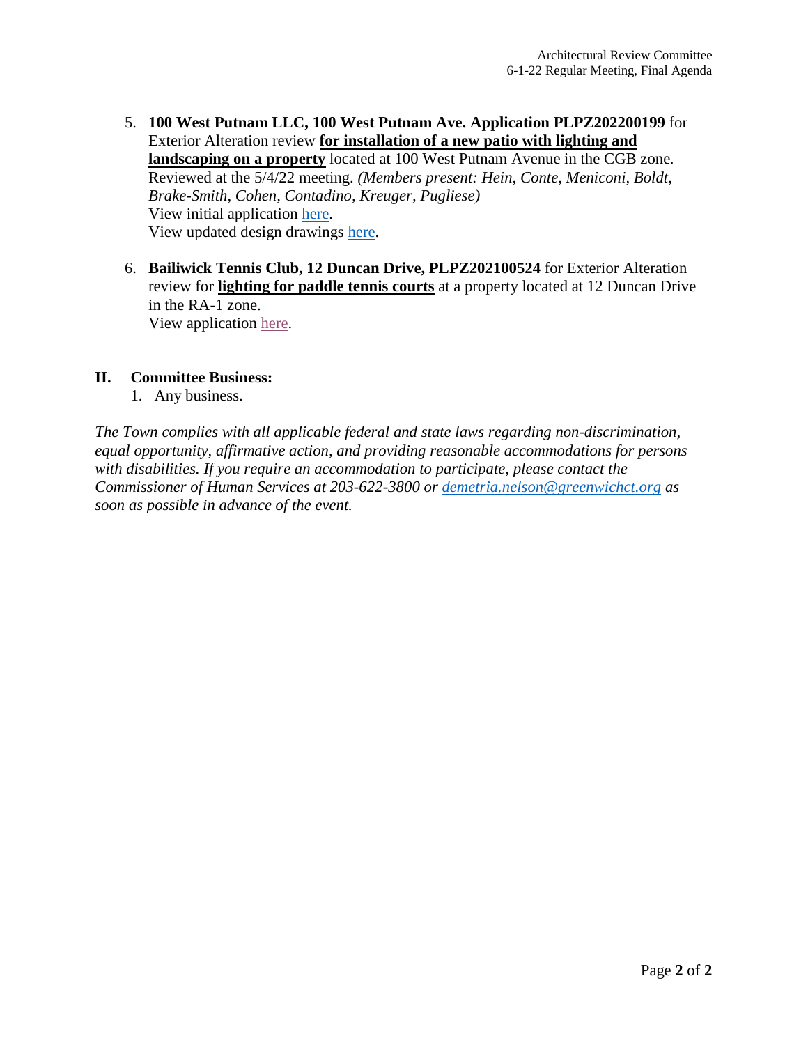- 5. **100 West Putnam LLC, 100 West Putnam Ave. Application PLPZ202200199** for Exterior Alteration review **for installation of a new patio with lighting and landscaping on a property** located at 100 West Putnam Avenue in the CGB zone*.* Reviewed at the 5/4/22 meeting. *(Members present: Hein, Conte, Meniconi, Boldt, Brake-Smith, Cohen, Contadino, Kreuger, Pugliese)* View initial application [here.](https://www.greenwichct.gov/DocumentCenter/View/31301/100-WPA-patio-ARC-EA) View updated design drawings [here.](https://www.greenwichct.gov/DocumentCenter/View/31307/2022-05-27_Combined-Updates)
- 6. **Bailiwick Tennis Club, 12 Duncan Drive, PLPZ202100524** for Exterior Alteration review for **lighting for paddle tennis courts** at a property located at 12 Duncan Drive in the RA-1 zone. View application [here.](https://www.greenwichct.gov/DocumentCenter/View/31300/12-Duncan-Drive-ARC)

## **II. Committee Business:**

1. Any business.

*The Town complies with all applicable federal and state laws regarding non-discrimination, equal opportunity, affirmative action, and providing reasonable accommodations for persons with disabilities. If you require an accommodation to participate, please contact the Commissioner of Human Services at 203-622-3800 or [demetria.nelson@greenwichct.org](mailto:demetria.nelson@greenwichct.org) as soon as possible in advance of the event.*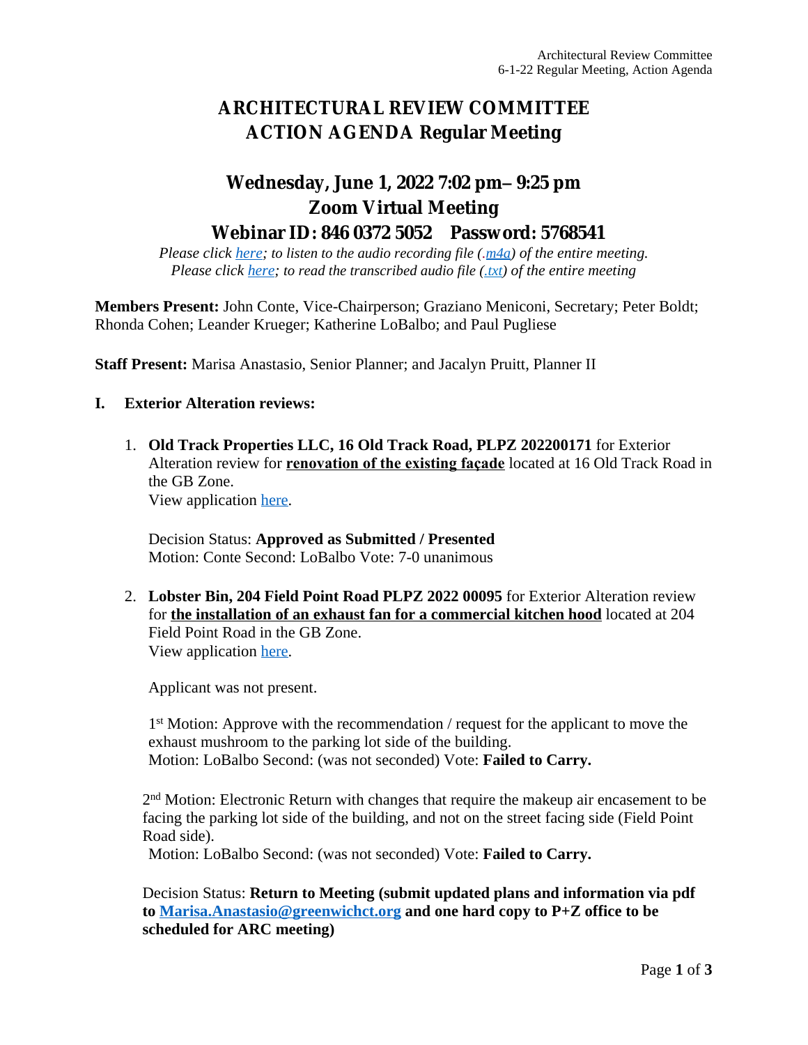# **ARCHITECTURAL REVIEW COMMITTEE ACTION AGENDA Regular Meeting**

## **Wednesday, June 1, 2022 7:02 pm– 9:25 pm Zoom Virtual Meeting Webinar ID: 846 0372 5052 Password: 5768541**

*Please click [here](https://www.greenwichct.gov/DocumentCenter/View/31345/2022_06_01_ARC_Meeting_Audio); to listen to the audio recording file ([.m4a](https://www.greenwichct.gov/DocumentCenter/View/31345/2022_06_01_ARC_Meeting_Audio)) of the entire meeting. Please click [here](https://www.greenwichct.gov/DocumentCenter/View/31346/2022_06_01_ARC_Meeting_Transcript); to read the transcribed audio file [\(.txt\)](https://www.greenwichct.gov/DocumentCenter/View/31346/2022_06_01_ARC_Meeting_Transcript) of the entire meeting*

**Members Present:** John Conte, Vice-Chairperson; Graziano Meniconi, Secretary; Peter Boldt; Rhonda Cohen; Leander Krueger; Katherine LoBalbo; and Paul Pugliese

**Staff Present:** Marisa Anastasio, Senior Planner; and Jacalyn Pruitt, Planner II

### **I. Exterior Alteration reviews:**

1. **Old Track Properties LLC, 16 Old Track Road, PLPZ 202200171** for Exterior Alteration review for **renovation of the existing façade** located at 16 Old Track Road in the GB Zone. View application [here](https://www.greenwichct.gov/DocumentCenter/View/31305/16-Old-Track-Rd-ARC-EA).

Decision Status: **Approved as Submitted / Presented** Motion: Conte Second: LoBalbo Vote: 7-0 unanimous

2. **Lobster Bin, 204 Field Point Road PLPZ 2022 00095** for Exterior Alteration review for **the installation of an exhaust fan for a commercial kitchen hood** located at 204 Field Point Road in the GB Zone. View application [here](https://www.greenwichct.gov/DocumentCenter/View/31304/204-FIELD-POINT-ROAD_ARC-APP).

Applicant was not present.

1 st Motion: Approve with the recommendation / request for the applicant to move the exhaust mushroom to the parking lot side of the building. Motion: LoBalbo Second: (was not seconded) Vote: **Failed to Carry.**

2<sup>nd</sup> Motion: Electronic Return with changes that require the makeup air encasement to be facing the parking lot side of the building, and not on the street facing side (Field Point Road side).

Motion: LoBalbo Second: (was not seconded) Vote: **Failed to Carry.**

Decision Status: **Return to Meeting (submit updated plans and information via pdf to [Marisa.Anastasio@greenwichct.org](mailto:Marisa.Anastasio@greenwichct.org) and one hard copy to P+Z office to be scheduled for ARC meeting)**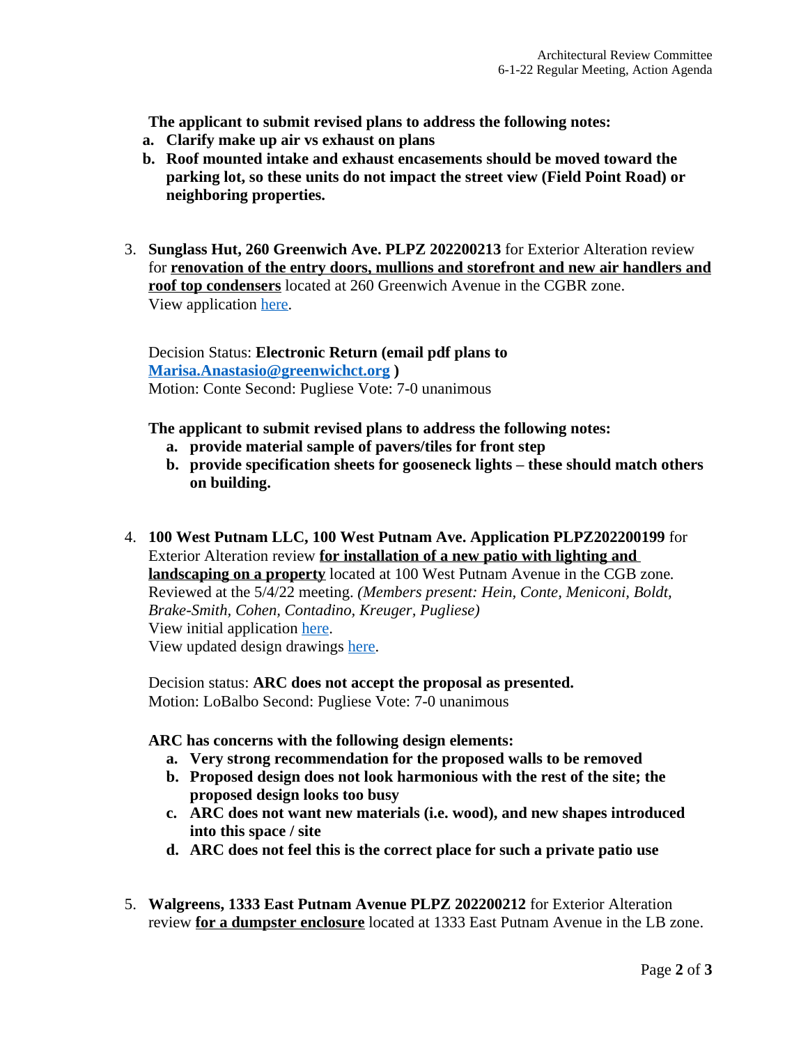**The applicant to submit revised plans to address the following notes:**

- **a. Clarify make up air vs exhaust on plans**
- **b. Roof mounted intake and exhaust encasements should be moved toward the parking lot, so these units do not impact the street view (Field Point Road) or neighboring properties.**
- 3. **Sunglass Hut, 260 Greenwich Ave. PLPZ 202200213** for Exterior Alteration review for **renovation of the entry doors, mullions and storefront and new air handlers and roof top condensers** located at 260 Greenwich Avenue in the CGBR zone. View application [here](https://www.greenwichct.gov/DocumentCenter/View/31302/260-Greenwich-Avenue-PLPZ-202200213-Sunglass-Hut).

Decision Status: **Electronic Return (email pdf plans to [Marisa.Anastasio@greenwichct.org](mailto:Marisa.Anastasio@greenwichct.org) )** Motion: Conte Second: Pugliese Vote: 7-0 unanimous

### **The applicant to submit revised plans to address the following notes:**

- **a. provide material sample of pavers/tiles for front step**
- **b. provide specification sheets for gooseneck lights – these should match others on building.**
- 4. **100 West Putnam LLC, 100 West Putnam Ave. Application PLPZ202200199** for Exterior Alteration review **for installation of a new patio with lighting and landscaping on a property** located at 100 West Putnam Avenue in the CGB zone*.* Reviewed at the 5/4/22 meeting. *(Members present: Hein, Conte, Meniconi, Boldt, Brake-Smith, Cohen, Contadino, Kreuger, Pugliese)* View initial application [here](https://www.greenwichct.gov/DocumentCenter/View/31301/100-WPA-patio-ARC-EA). View updated design drawings [here](https://www.greenwichct.gov/DocumentCenter/View/31307/2022-05-27_Combined-Updates).

Decision status: **ARC does not accept the proposal as presented.** Motion: LoBalbo Second: Pugliese Vote: 7-0 unanimous

### **ARC has concerns with the following design elements:**

- **a. Very strong recommendation for the proposed walls to be removed**
- **b. Proposed design does not look harmonious with the rest of the site; the proposed design looks too busy**
- **c. ARC does not want new materials (i.e. wood), and new shapes introduced into this space / site**
- **d. ARC does not feel this is the correct place for such a private patio use**
- 5. **Walgreens, 1333 East Putnam Avenue PLPZ 202200212** for Exterior Alteration review **for a dumpster enclosure** located at 1333 East Putnam Avenue in the LB zone.